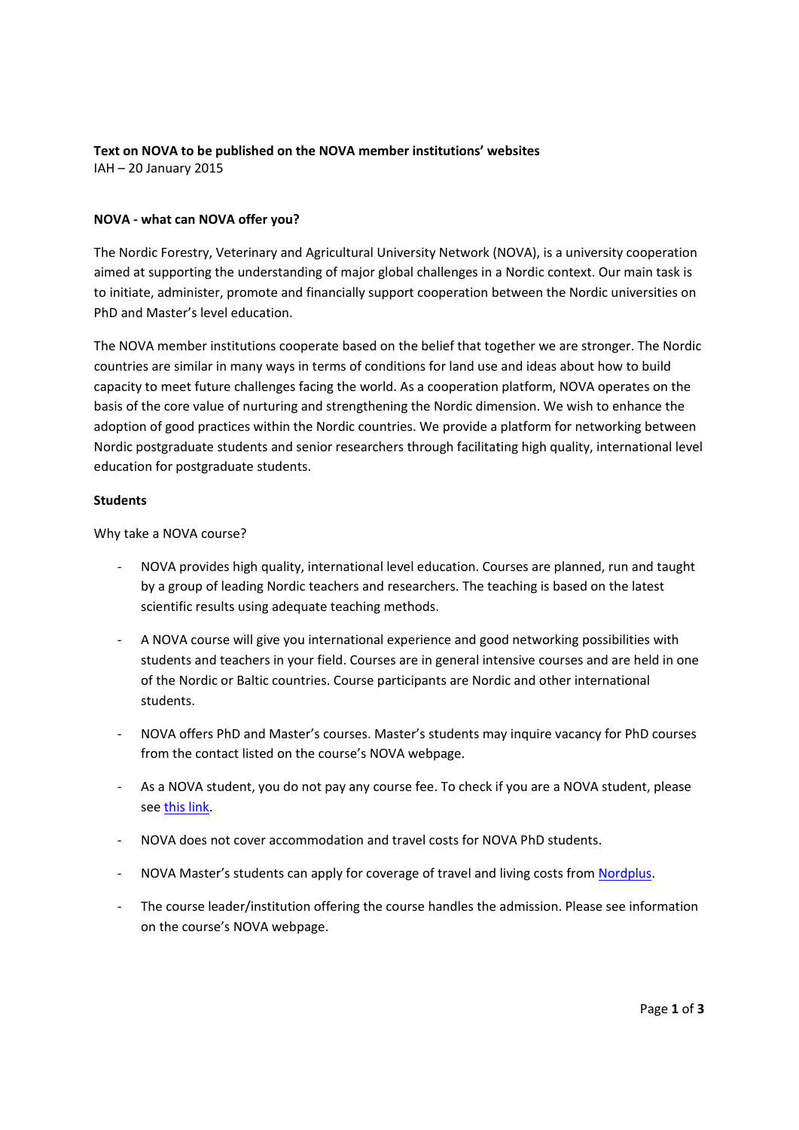## **Text on NOVA to be published on the NOVA member institutions' websites** IAH – 20 January 2015

## **NOVA ‐ what can NOVA offer you?**

The Nordic Forestry, Veterinary and Agricultural University Network (NOVA), is a university cooperation aimed at supporting the understanding of major global challenges in a Nordic context. Our main task is to initiate, administer, promote and financially support cooperation between the Nordic universities on PhD and Master's level education.

The NOVA member institutions cooperate based on the belief that together we are stronger. The Nordic countries are similar in many ways in terms of conditions for land use and ideas about how to build capacity to meet future challenges facing the world. As a cooperation platform, NOVA operates on the basis of the core value of nurturing and strengthening the Nordic dimension. We wish to enhance the adoption of good practices within the Nordic countries. We provide a platform for networking between Nordic postgraduate students and senior researchers through facilitating high quality, international level education for postgraduate students.

## **Students**

Why take a NOVA course?

- ‐ NOVA provides high quality, international level education. Courses are planned, run and taught by a group of leading Nordic teachers and researchers. The teaching is based on the latest scientific results using adequate teaching methods.
- ‐ A NOVA course will give you international experience and good networking possibilities with students and teachers in your field. Courses are in general intensive courses and are held in one of the Nordic or Baltic countries. Course participants are Nordic and other international students.
- ‐ NOVA offers PhD and Master's courses. Master's students may inquire vacancy for PhD courses from the contact listed on the course's NOVA webpage.
- ‐ As a NOVA student, you do not pay any course fee. To check if you are a NOVA student, please see this link.
- ‐ NOVA does not cover accommodation and travel costs for NOVA PhD students.
- ‐ NOVA Master's students can apply for coverage of travel and living costs from Nordplus.
- ‐ The course leader/institution offering the course handles the admission. Please see information on the course's NOVA webpage.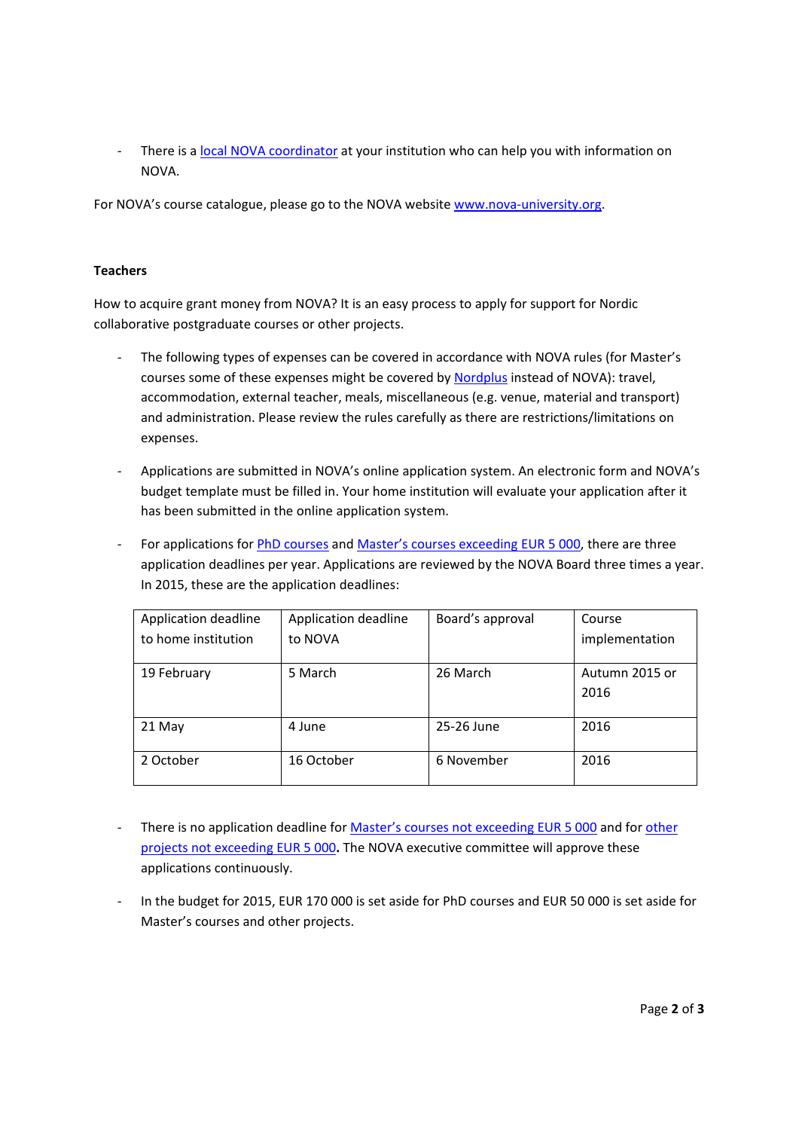- There is a local NOVA coordinator at your institution who can help you with information on NOVA.

For NOVA's course catalogue, please go to the NOVA website www.nova-university.org.

## **Teachers**

How to acquire grant money from NOVA? It is an easy process to apply for support for Nordic collaborative postgraduate courses or other projects.

- The following types of expenses can be covered in accordance with NOVA rules (for Master's courses some of these expenses might be covered by Nordplus instead of NOVA): travel, accommodation, external teacher, meals, miscellaneous (e.g. venue, material and transport) and administration. Please review the rules carefully as there are restrictions/limitations on expenses.
- ‐ Applications are submitted in NOVA's online application system. An electronic form and NOVA's budget template must be filled in. Your home institution will evaluate your application after it has been submitted in the online application system.
- ‐ For applications for PhD courses and Master's courses exceeding EUR 5 000, there are three application deadlines per year. Applications are reviewed by the NOVA Board three times a year. In 2015, these are the application deadlines:

| Application deadline | Application deadline | Board's approval | Course                 |
|----------------------|----------------------|------------------|------------------------|
| to home institution  | to NOVA              |                  | implementation         |
| 19 February          | 5 March              | 26 March         | Autumn 2015 or<br>2016 |
| 21 May               | 4 June               | 25-26 June       | 2016                   |
| 2 October            | 16 October           | 6 November       | 2016                   |

- There is no application deadline for Master's courses not exceeding EUR 5 000 and for other projects not exceeding EUR 5 000**.** The NOVA executive committee will approve these applications continuously.
- In the budget for 2015, EUR 170 000 is set aside for PhD courses and EUR 50 000 is set aside for Master's courses and other projects.